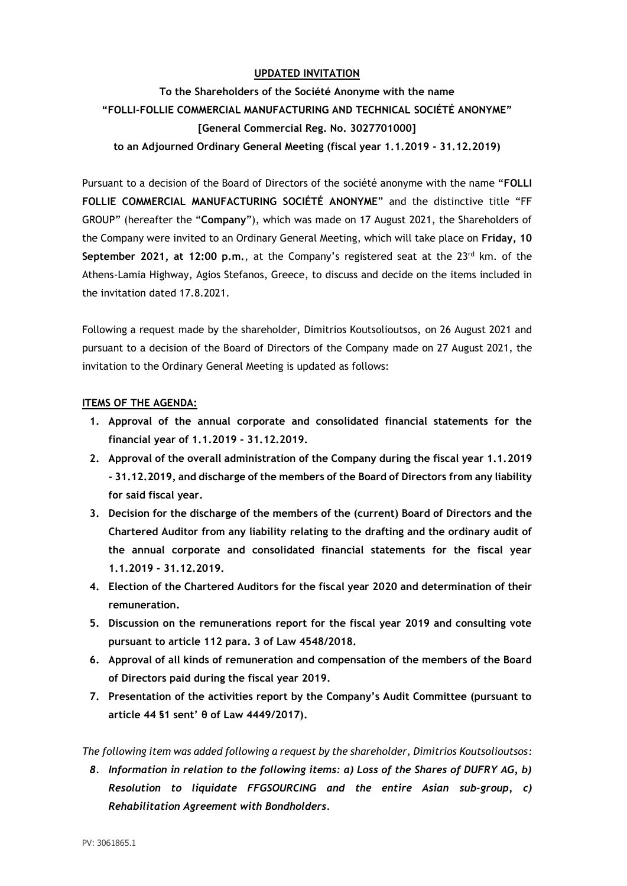## **UPDATED INVITATION**

**To the Shareholders of the Société Anonyme with the name "FOLLI-FOLLIE COMMERCIAL MANUFACTURING AND TECHNICAL SOCIÉTÉ ANONYME" [General Commercial Reg. No. 3027701000] to an Adjourned Ordinary General Meeting (fiscal year 1.1.2019 - 31.12.2019)**

Pursuant to a decision of the Board of Directors of the société anonyme with the name "**FOLLI FOLLIE COMMERCIAL MANUFACTURING SOCIÉTÉ ANONYME**" and the distinctive title "FF GROUP" (hereafter the "**Company**"), which was made on 17 August 2021, the Shareholders of the Company were invited to an Ordinary General Meeting, which will take place on **Friday, 10 September 2021, at 12:00 p.m.**, at the Company's registered seat at the 23<sup>rd</sup> km. of the Athens-Lamia Highway, Agios Stefanos, Greece, to discuss and decide on the items included in the invitation dated 17.8.2021.

Following a request made by the shareholder, Dimitrios Koutsolioutsos, on 26 August 2021 and pursuant to a decision of the Board of Directors of the Company made on 27 August 2021, the invitation to the Ordinary General Meeting is updated as follows:

## **ITEMS OF THE AGENDA:**

- **1. Approval of the annual corporate and consolidated financial statements for the financial year of 1.1.2019 - 31.12.2019.**
- **2. Approval of the overall administration of the Company during the fiscal year 1.1.2019 - 31.12.2019, and discharge of the members of the Board of Directors from any liability for said fiscal year.**
- **3. Decision for the discharge of the members of the (current) Board of Directors and the Chartered Auditor from any liability relating to the drafting and the ordinary audit of the annual corporate and consolidated financial statements for the fiscal year 1.1.2019 - 31.12.2019.**
- **4. Election of the Chartered Auditors for the fiscal year 2020 and determination of their remuneration.**
- **5. Discussion on the remunerations report for the fiscal year 2019 and consulting vote pursuant to article 112 para. 3 of Law 4548/2018.**
- **6. Approval of all kinds of remuneration and compensation of the members of the Board of Directors paid during the fiscal year 2019.**
- **7. Presentation of the activities report by the Company's Audit Committee (pursuant to article 44 §1 sent' θ of Law 4449/2017).**

*The following item was added following a request by the shareholder, Dimitrios Koutsolioutsos:*

*8. Information in relation to the following items: a) Loss of the Shares of DUFRY AG, b) Resolution to liquidate FFGSOURCING and the entire Asian sub-group, c) Rehabilitation Agreement with Bondholders.*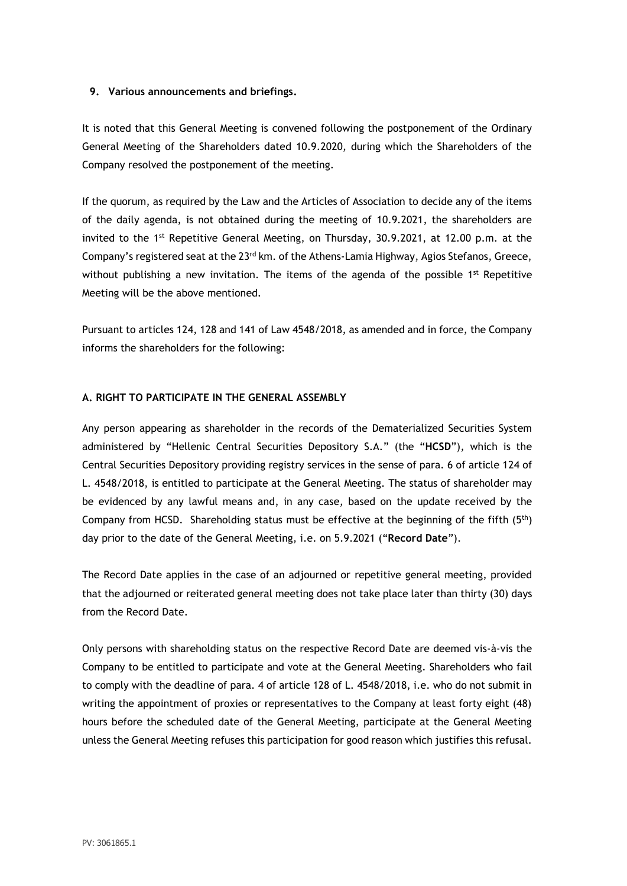#### **9. Various announcements and briefings.**

It is noted that this General Meeting is convened following the postponement of the Ordinary General Meeting of the Shareholders dated 10.9.2020, during which the Shareholders of the Company resolved the postponement of the meeting.

If the quorum, as required by the Law and the Articles of Association to decide any of the items of the daily agenda, is not obtained during the meeting of 10.9.2021, the shareholders are invited to the 1<sup>st</sup> Repetitive General Meeting, on Thursday, 30.9.2021, at 12.00 p.m. at the Company's registered seat at the  $23<sup>rd</sup>$  km. of the Athens-Lamia Highway, Agios Stefanos, Greece, without publishing a new invitation. The items of the agenda of the possible  $1<sup>st</sup>$  Repetitive Meeting will be the above mentioned.

Pursuant to articles 124, 128 and 141 of Law 4548/2018, as amended and in force, the Company informs the shareholders for the following:

## **A. RIGHT TO PARTICIPATE IN THE GENERAL ASSEMBLY**

Any person appearing as shareholder in the records of the Dematerialized Securities System administered by "Hellenic Central Securities Depository S.A." (the "**HCSD**"), which is the Central Securities Depository providing registry services in the sense of para. 6 of article 124 of L. 4548/2018, is entitled to participate at the General Meeting. The status of shareholder may be evidenced by any lawful means and, in any case, based on the update received by the Company from HCSD. Shareholding status must be effective at the beginning of the fifth (5th) day prior to the date of the General Meeting, i.e. on 5.9.2021 ("**Record Date**").

The Record Date applies in the case of an adjourned or repetitive general meeting, provided that the adjourned or reiterated general meeting does not take place later than thirty (30) days from the Record Date.

Only persons with shareholding status on the respective Record Date are deemed vis-à-vis the Company to be entitled to participate and vote at the General Meeting. Shareholders who fail to comply with the deadline of para. 4 of article 128 of L. 4548/2018, i.e. who do not submit in writing the appointment of proxies or representatives to the Company at least forty eight (48) hours before the scheduled date of the General Meeting, participate at the General Meeting unless the General Meeting refuses this participation for good reason which justifies this refusal.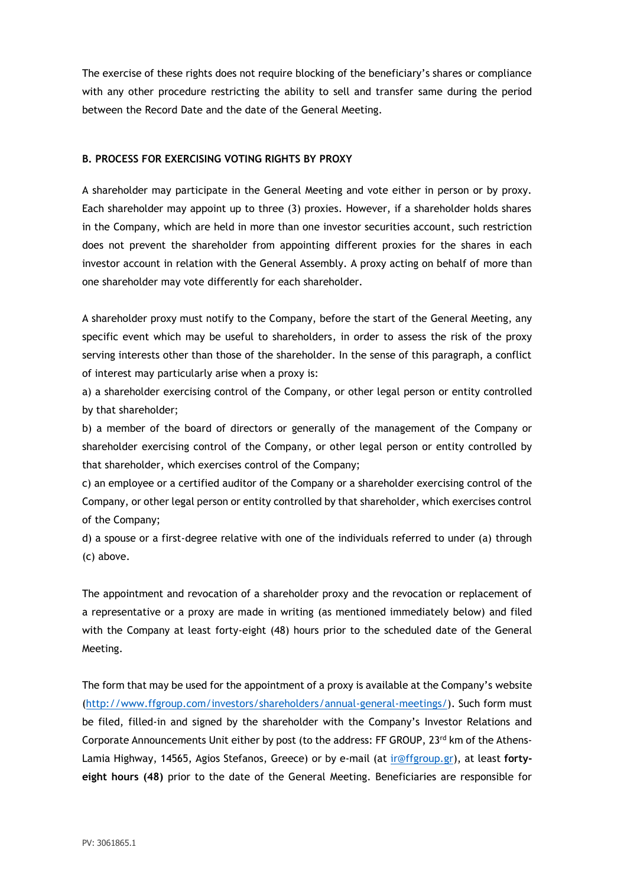The exercise of these rights does not require blocking of the beneficiary's shares or compliance with any other procedure restricting the ability to sell and transfer same during the period between the Record Date and the date of the General Meeting.

## **B. PROCESS FOR EXERCISING VOTING RIGHTS BY PROXY**

A shareholder may participate in the General Meeting and vote either in person or by proxy. Each shareholder may appoint up to three (3) proxies. However, if a shareholder holds shares in the Company, which are held in more than one investor securities account, such restriction does not prevent the shareholder from appointing different proxies for the shares in each investor account in relation with the General Assembly. A proxy acting on behalf of more than one shareholder may vote differently for each shareholder.

A shareholder proxy must notify to the Company, before the start of the General Meeting, any specific event which may be useful to shareholders, in order to assess the risk of the proxy serving interests other than those of the shareholder. In the sense of this paragraph, a conflict of interest may particularly arise when a proxy is:

a) a shareholder exercising control of the Company, or other legal person or entity controlled by that shareholder;

b) a member of the board of directors or generally of the management of the Company or shareholder exercising control of the Company, or other legal person or entity controlled by that shareholder, which exercises control of the Company;

c) an employee or a certified auditor of the Company or a shareholder exercising control of the Company, or other legal person or entity controlled by that shareholder, which exercises control of the Company;

d) a spouse or a first-degree relative with one of the individuals referred to under (a) through (c) above.

The appointment and revocation of a shareholder proxy and the revocation or replacement of a representative or a proxy are made in writing (as mentioned immediately below) and filed with the Company at least forty-eight (48) hours prior to the scheduled date of the General Meeting.

The form that may be used for the appointment of a proxy is available at the Company's website [\(http://www.ffgroup.com/investors/shareholders/annual-general-meetings/\)](http://www.ffgroup.com/investors/shareholders/annual-general-meetings/). Such form must be filed, filled-in and signed by the shareholder with the Company's Investor Relations and Corporate Announcements Unit either by post (to the address: FF GROUP,  $23<sup>rd</sup>$  km of the Athens-Lamia Highway, 14565, Agios Stefanos, Greece) or by e-mail (at [ir@ffgroup.gr\)](mailto:ir@ffgroup.gr), at least **fortyeight hours (48)** prior to the date of the General Meeting. Beneficiaries are responsible for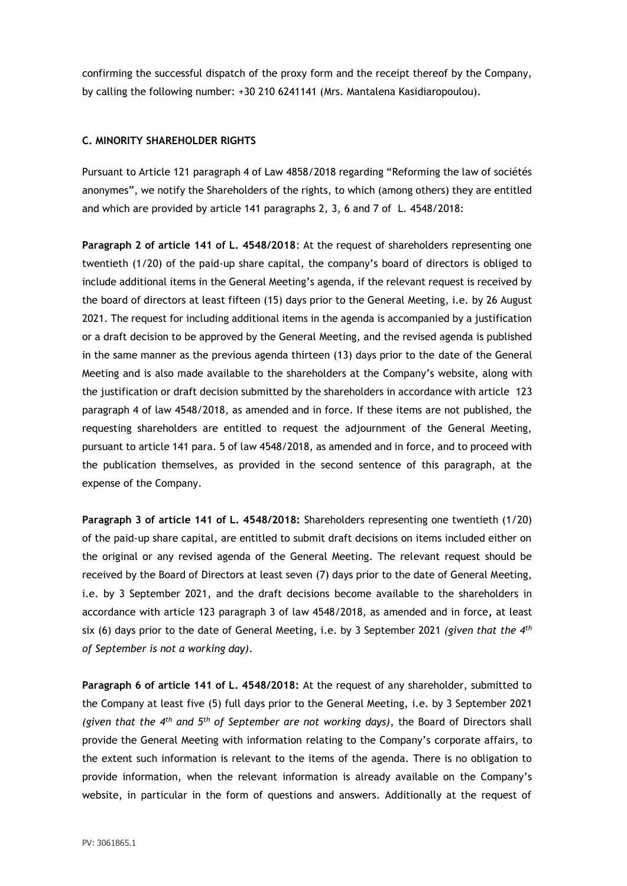confirming the successful dispatch of the proxy form and the receipt thereof by the Company, by calling the following number: +30 210 6241141 (Mrs. Mantalena Kasidiaropoulou).

#### **C. MINORITY SHAREHOLDER RIGHTS**

Pursuant to Article 121 paragraph 4 of Law 4858/2018 regarding "Reforming the law of sociétés anonymes", we notify the Shareholders of the rights, to which (among others) they are entitled and which are provided by article 141 paragraphs 2, 3, 6 and 7 of L. 4548/2018:

**Paragraph 2 of article 141 of L. 4548/2018**: At the request of shareholders representing one twentieth (1/20) of the paid-up share capital, the company's board of directors is obliged to include additional items in the General Meeting's agenda, if the relevant request is received by the board of directors at least fifteen (15) days prior to the General Meeting, i.e. by 26 August 2021. The request for including additional items in the agenda is accompanied by a justification or a draft decision to be approved by the General Meeting, and the revised agenda is published in the same manner as the previous agenda thirteen (13) days prior to the date of the General Meeting and is also made available to the shareholders at the Company's website, along with the justification or draft decision submitted by the shareholders in accordance with article 123 paragraph 4 of law 4548/2018, as amended and in force. If these items are not published, the requesting shareholders are entitled to request the adjournment of the General Meeting, pursuant to article 141 para. 5 of law 4548/2018, as amended and in force, and to proceed with the publication themselves, as provided in the second sentence of this paragraph, at the expense of the Company.

**Paragraph 3 of article 141 of L. 4548/2018:** Shareholders representing one twentieth (1/20) of the paid-up share capital, are entitled to submit draft decisions on items included either on the original or any revised agenda of the General Meeting. The relevant request should be received by the Board of Directors at least seven (7) days prior to the date of General Meeting, i.e. by 3 September 2021, and the draft decisions become available to the shareholders in accordance with article 123 paragraph 3 of law 4548/2018, as amended and in force**,** at least six (6) days prior to the date of General Meeting, i.e. by 3 September 2021 *(given that the 4th of September is not a working day)*.

**Paragraph 6 of article 141 of L. 4548/2018:** At the request of any shareholder, submitted to the Company at least five (5) full days prior to the General Meeting, i.e. by 3 September 2021 *(given that the 4th and 5th of September are not working days)*, the Board of Directors shall provide the General Meeting with information relating to the Company's corporate affairs, to the extent such information is relevant to the items of the agenda. There is no obligation to provide information, when the relevant information is already available on the Company's website, in particular in the form of questions and answers. Additionally at the request of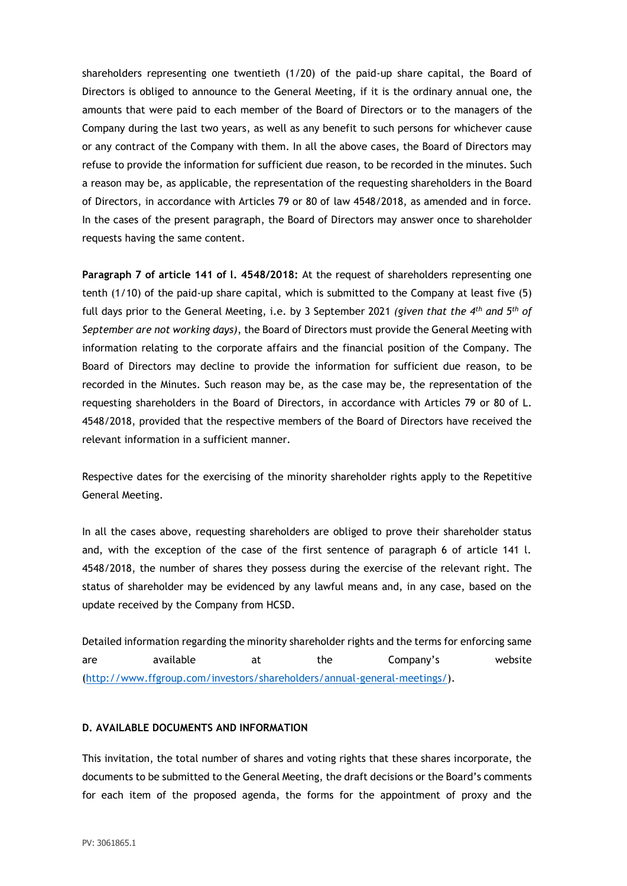shareholders representing one twentieth (1/20) of the paid-up share capital, the Board of Directors is obliged to announce to the General Meeting, if it is the ordinary annual one, the amounts that were paid to each member of the Board of Directors or to the managers of the Company during the last two years, as well as any benefit to such persons for whichever cause or any contract of the Company with them. In all the above cases, the Board of Directors may refuse to provide the information for sufficient due reason, to be recorded in the minutes. Such a reason may be, as applicable, the representation of the requesting shareholders in the Board of Directors, in accordance with Articles 79 or 80 of law 4548/2018, as amended and in force. In the cases of the present paragraph, the Board of Directors may answer once to shareholder requests having the same content.

**Paragraph 7 of article 141 of l. 4548/2018:** At the request of shareholders representing one tenth (1/10) of the paid-up share capital, which is submitted to the Company at least five (5) full days prior to the General Meeting, i.e. by 3 September 2021 *(given that the 4th and 5th of September are not working days)*, the Board of Directors must provide the General Meeting with information relating to the corporate affairs and the financial position of the Company. The Board of Directors may decline to provide the information for sufficient due reason, to be recorded in the Minutes. Such reason may be, as the case may be, the representation of the requesting shareholders in the Board of Directors, in accordance with Articles 79 or 80 of L. 4548/2018, provided that the respective members of the Board of Directors have received the relevant information in a sufficient manner.

Respective dates for the exercising of the minority shareholder rights apply to the Repetitive General Meeting.

In all the cases above, requesting shareholders are obliged to prove their shareholder status and, with the exception of the case of the first sentence of paragraph 6 of article 141 l. 4548/2018, the number of shares they possess during the exercise of the relevant right. The status of shareholder may be evidenced by any lawful means and, in any case, based on the update received by the Company from HCSD.

Detailed information regarding the minority shareholder rights and the terms for enforcing same are available at the Company's website [\(http://www.ffgroup.com/investors/shareholders/annual-general-meetings/\)](http://www.ffgroup.com/investors/shareholders/annual-general-meetings/).

## **D. AVAILABLE DOCUMENTS AND INFORMATION**

This invitation, the total number of shares and voting rights that these shares incorporate, the documents to be submitted to the General Meeting, the draft decisions or the Board's comments for each item of the proposed agenda, the forms for the appointment of proxy and the